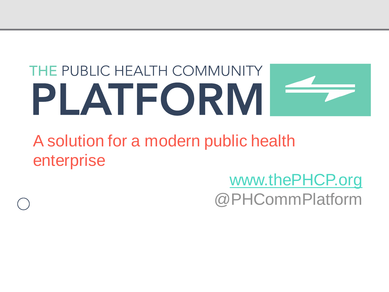# THE PUBLIC HEALTH COMMUNITY PLATFORM

A solution for a modern public health enterprise

# [www.thePHCP.org](http://www.thephcp.org/) @PHCommPlatform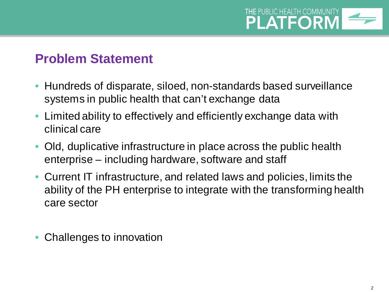

### **Problem Statement**

- Hundreds of disparate, siloed, non-standards based surveillance systems in public health that can't exchange data
- Limited ability to effectively and efficiently exchange data with clinical care
- Old, duplicative infrastructure in place across the public health enterprise – including hardware, software and staff
- Current IT infrastructure, and related laws and policies, limits the ability of the PH enterprise to integrate with the transforming health care sector
- Challenges to innovation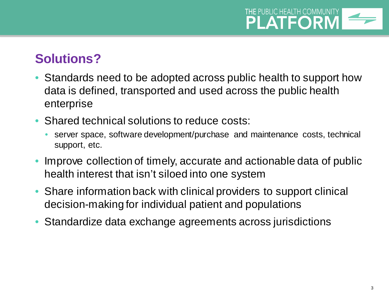### **THE PUBLIC HEALTH COMMUNITY PLATFORM**

# **Solutions?**

- Standards need to be adopted across public health to support how data is defined, transported and used across the public health enterprise
- Shared technical solutions to reduce costs:
	- server space, software development/purchase and maintenance costs, technical support, etc.
- Improve collection of timely, accurate and actionable data of public health interest that isn't siloed into one system
- Share information back with clinical providers to support clinical decision-making for individual patient and populations
- Standardize data exchange agreements across jurisdictions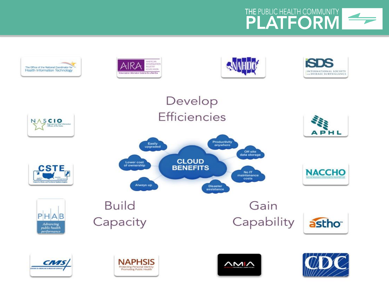

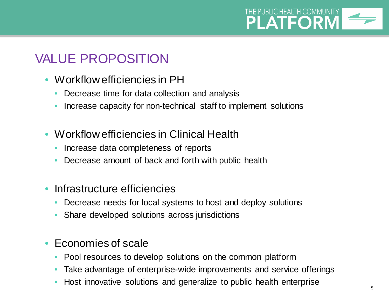

# VALUE PROPOSITION

- Workflow efficiencies in PH
	- Decrease time for data collection and analysis
	- Increase capacity for non-technical staff to implement solutions
- Workflow efficiencies in Clinical Health
	- Increase data completeness of reports
	- Decrease amount of back and forth with public health
- Infrastructure efficiencies
	- Decrease needs for local systems to host and deploy solutions
	- Share developed solutions across jurisdictions
- Economies of scale
	- Pool resources to develop solutions on the common platform
	- Take advantage of enterprise-wide improvements and service offerings
	- Host innovative solutions and generalize to public health enterprise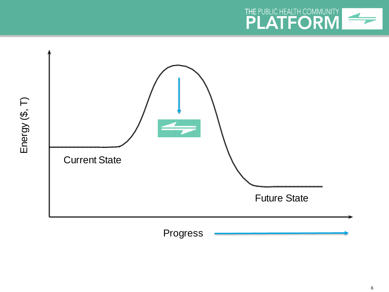

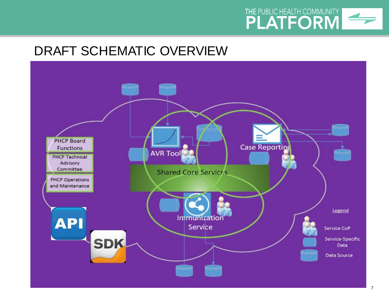

# DRAFT SCHEMATIC OVERVIEW

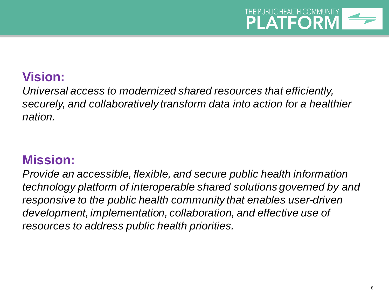

## **Vision:**

*Universal access to modernized shared resources that efficiently, securely, and collaboratively transform data into action for a healthier nation.*

### **Mission:**

*Provide an accessible, flexible, and secure public health information technology platform of interoperable shared solutions governed by and responsive to the public health community that enables user-driven development, implementation, collaboration, and effective use of resources to address public health priorities.*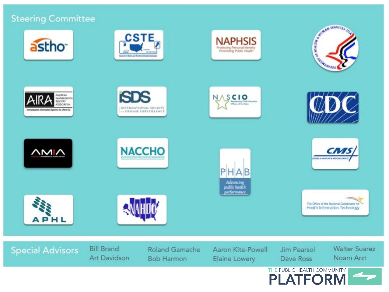#### **Steering Committee**

































**Special Advisors** 

**Bill Brand** Art Davidson

**Roland Gamache Bob Harmon** 

Aaron Kite-Powell Elaine Lowery

Jim Pearsol Dave Ross

**Walter Suarez** Noam Arzt

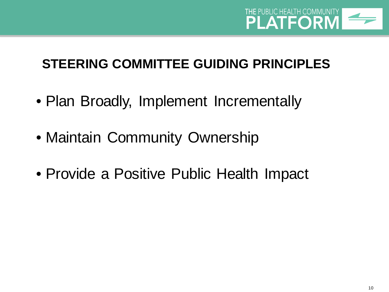

# **STEERING COMMITTEE GUIDING PRINCIPLES**

- Plan Broadly, Implement Incrementally
- Maintain Community Ownership
- Provide a Positive Public Health Impact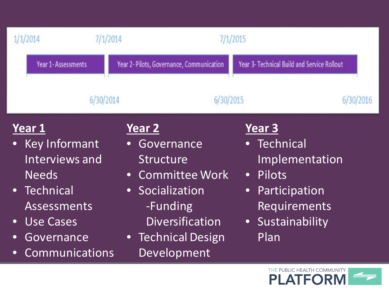| 1/1/2014                                                                                                                                                                                | 7/1/2014                                                                                                                                                              | 7/1/2015                                                                                                                               |
|-----------------------------------------------------------------------------------------------------------------------------------------------------------------------------------------|-----------------------------------------------------------------------------------------------------------------------------------------------------------------------|----------------------------------------------------------------------------------------------------------------------------------------|
| Year 1-Assessments                                                                                                                                                                      | Year 2-Pilots, Governance, Communication                                                                                                                              | Year 3- Technical Build and Service Rollout                                                                                            |
|                                                                                                                                                                                         | 6/30/2014<br>6/30/2015                                                                                                                                                | 6/30/2016                                                                                                                              |
| Year 1<br>Key Informant<br>Interviews and<br><b>Needs</b><br>Technical<br>$\bullet$<br><b>Assessments</b><br><b>Use Cases</b><br>$\bullet$<br>Governance<br>$\bullet$<br>Communications | Year 2<br>Governance<br>Structure<br><b>Committee Work</b><br>$\bullet$<br>• Socialization<br>-Funding<br><b>Diversification</b><br>• Technical Design<br>Development | Year 3<br>Technical<br>Implementation<br>Pilots<br>$\bullet$<br>Participation<br>$\bullet$<br>Requirements<br>• Sustainability<br>Plan |
|                                                                                                                                                                                         |                                                                                                                                                                       | THE PUBLIC HEALTH COMMUNITY                                                                                                            |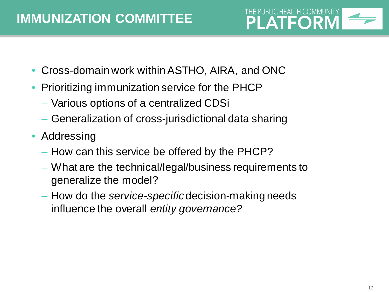

- Cross-domain work within ASTHO, AIRA, and ONC
- Prioritizing immunization service for the PHCP
	- Various options of a centralized CDSi
	- Generalization of cross-jurisdictional data sharing
- Addressing
	- How can this service be offered by the PHCP?
	- What are the technical/legal/business requirements to generalize the model?
	- How do the *service-specific* decision-making needs influence the overall *entity governance?*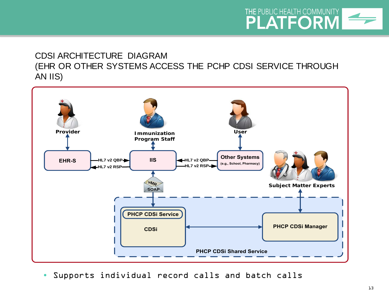#### **THE PUBLIC HEALTH COMMUNITY PLATFORM**

#### CDSI ARCHITECTURE DIAGRAM (EHR OR OTHER SYSTEMS ACCESS THE PCHP CDSI SERVICE THROUGH AN IIS)



• Supports individual record calls and batch calls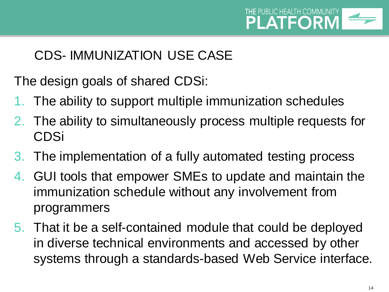

# CDS- IMMUNIZATION USE CASE

The design goals of shared CDSi:

- 1. The ability to support multiple immunization schedules
- 2. The ability to simultaneously process multiple requests for CDSi
- 3. The implementation of a fully automated testing process
- 4. GUI tools that empower SMEs to update and maintain the immunization schedule without any involvement from programmers
- 5. That it be a self-contained module that could be deployed in diverse technical environments and accessed by other systems through a standards-based Web Service interface.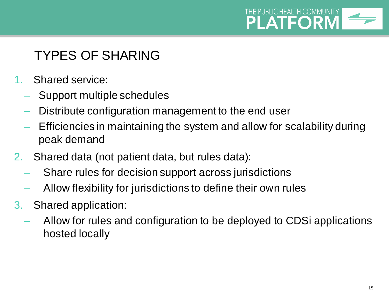

# TYPES OF SHARING

- 1. Shared service:
	- Support multiple schedules
	- Distribute configuration management to the end user
	- Efficiencies in maintaining the system and allow for scalability during peak demand
- 2. Shared data (not patient data, but rules data):
	- Share rules for decision support across jurisdictions
	- Allow flexibility for jurisdictions to define their own rules
- 3. Shared application:
	- Allow for rules and configuration to be deployed to CDSi applications hosted locally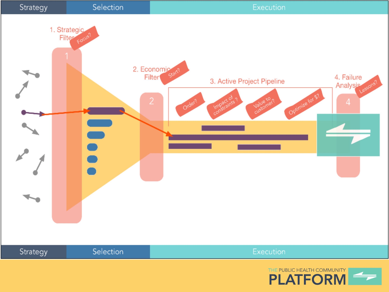